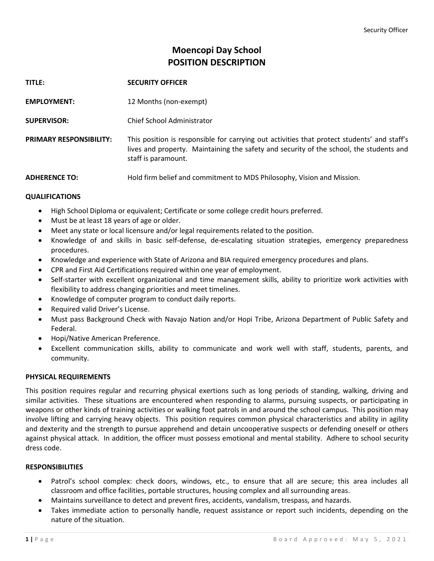# **Moencopi Day School POSITION DESCRIPTION**

| TITLE:                         | <b>SECURITY OFFICER</b>                                                                                                                                                                                       |
|--------------------------------|---------------------------------------------------------------------------------------------------------------------------------------------------------------------------------------------------------------|
| <b>EMPLOYMENT:</b>             | 12 Months (non-exempt)                                                                                                                                                                                        |
| <b>SUPERVISOR:</b>             | Chief School Administrator                                                                                                                                                                                    |
| <b>PRIMARY RESPONSIBILITY:</b> | This position is responsible for carrying out activities that protect students' and staff's<br>lives and property. Maintaining the safety and security of the school, the students and<br>staff is paramount. |
| <b>ADHERENCE TO:</b>           | Hold firm belief and commitment to MDS Philosophy, Vision and Mission.                                                                                                                                        |

# **QUALIFICATIONS**

- High School Diploma or equivalent; Certificate or some college credit hours preferred.
- Must be at least 18 years of age or older.
- Meet any state or local licensure and/or legal requirements related to the position.
- Knowledge of and skills in basic self-defense, de-escalating situation strategies, emergency preparedness procedures.
- Knowledge and experience with State of Arizona and BIA required emergency procedures and plans.
- CPR and First Aid Certifications required within one year of employment.
- Self-starter with excellent organizational and time management skills, ability to prioritize work activities with flexibility to address changing priorities and meet timelines.
- Knowledge of computer program to conduct daily reports.
- Required valid Driver's License.
- Must pass Background Check with Navajo Nation and/or Hopi Tribe, Arizona Department of Public Safety and Federal.
- Hopi/Native American Preference.
- Excellent communication skills, ability to communicate and work well with staff, students, parents, and community.

### **PHYSICAL REQUIREMENTS**

This position requires regular and recurring physical exertions such as long periods of standing, walking, driving and similar activities. These situations are encountered when responding to alarms, pursuing suspects, or participating in weapons or other kinds of training activities or walking foot patrols in and around the school campus. This position may involve lifting and carrying heavy objects. This position requires common physical characteristics and ability in agility and dexterity and the strength to pursue apprehend and detain uncooperative suspects or defending oneself or others against physical attack. In addition, the officer must possess emotional and mental stability. Adhere to school security dress code.

### **RESPONSIBILITIES**

- Patrol's school complex: check doors, windows, etc., to ensure that all are secure; this area includes all classroom and office facilities, portable structures, housing complex and all surrounding areas.
- Maintains surveillance to detect and prevent fires, accidents, vandalism, trespass, and hazards.
- Takes immediate action to personally handle, request assistance or report such incidents, depending on the nature of the situation.